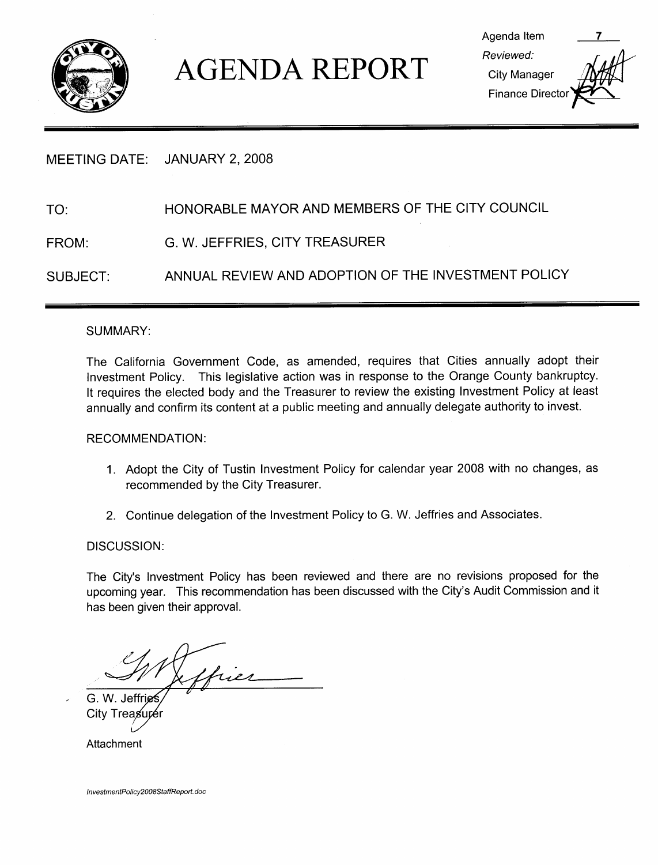

# AGENDA REPORT<br>
Elity Manager<br>
Finance Director

|          | MEETING DATE: JANUARY 2, 2008                       |
|----------|-----------------------------------------------------|
| TO:      | HONORABLE MAYOR AND MEMBERS OF THE CITY COUNCIL     |
| FROM:    | G. W. JEFFRIES, CITY TREASURER                      |
| SUBJECT: | ANNUAL REVIEW AND ADOPTION OF THE INVESTMENT POLICY |

#### SUMMARY

The California Government Code, as amended, requires that Cities annually adopt their Investment Policy. This legislative action was in response to the Orange County bankruptcy. It requires the elected body and the Treasurer to review the existing Investment Policy at least annually and confirm its content at a public meeting and annually delegate authority to invest.

#### RECOMMENDATION

- 1. Adopt the City of Tustin Investment Policy for calendar year 2008 with no changes, as recommended by the City Treasurer
- 2. Continue delegation of the Investment Policy to G. W. Jeffries and Associates.

#### DISCUSSION:

DISCUSS<br>The City's<br>upcomina Investment Policy has been reviewed and there are no revisions proposed for the The City's Investment Policy has been reviewed and there are no rev<br>upcoming year. This recommendation has been discussed with the City's<br>has been given their approval upcoming year. This recommendation has been discussed with the City's Audit Commission and it has been given their approval

hier

G. W. Jeffri **City Treas** 

Attachment

InvestmentPolicy2008StaffReport.doc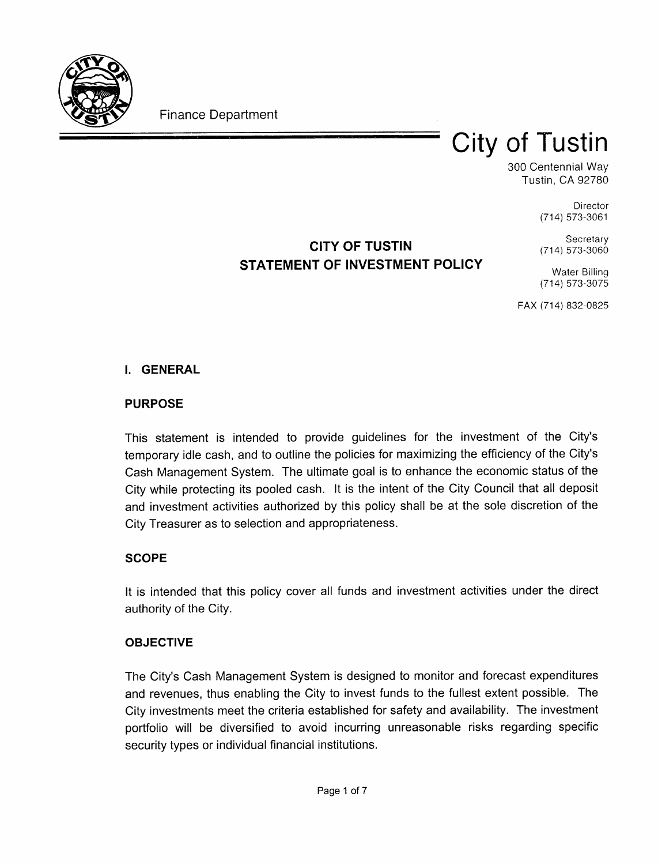

**Finance Department** 

# **City of Tustin**

300 Centennial Way Tustin, CA 92780

> Director  $(714) 573 - 3061$

# CITY OF TUSTIN STATEMENT OF INVESTMENT POLICY

 $(714) 573 - 3060$ Water Billing

Secretary

(714) 573-3075

FAX (714) 832-0825

### **I. GENERAL**

## PURPOSE

This statement is intended to provide quidelines for the investment of the City's temporary idle cash, and to outline the policies for maximizing the efficiency of the City's Cash Management System. The ultimate goal is to enhance the economic status of the City while protecting its pooled cash. It is the intent of the City Council that all deposit and investment activities authorized by this policy shall be at the sole discretion of the City Treasurer as to selection and appropriateness

# **SCOPE**

It is intended that this policy cover all funds and investment activities under the direct authority of the City

### OBJECTIVE

**ОВЈЕСТІ**<br>The City's<br>and rever Cash Management System is designed to monitor and forecast expenditures and revenues, thus enabling the City to invest funds to the fullest extent possible. The City investments meet the criteria established for safety and availability. The investment portfolio will be diversified to avoid incurring unreasonable risks regarding specific security types or individual financial institutions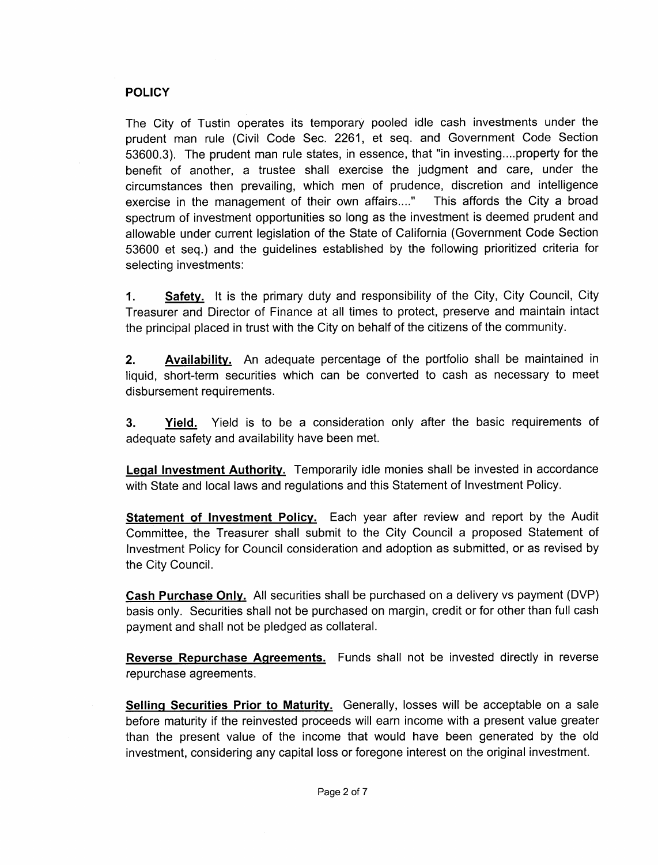#### **POLICY**

The City of Tustin operates its temporary pooled idle cash investments under the prudent man rule (Civil Code Sec. 2261, et seq. and Government Code Section<br>53600.3). The prudent man rule states, in essence, that "in investing....property for the FOLICY<br>The City of Tustin operates its temporary pooled idle cash investments under the<br>prudent man rule (Civil Code Sec. 2261, et seq. and Government Code Sectior<br>53600.3). The prudent man rule states, in essence, that "i benefit of another, a trustee shall exercise the judgment and care, under the circumstances then prevailing, which men of prudence, discretion and intelligence<br>exercise in the management of their own affairs...." This affords the City a broad exercise in the management of their own affairs...." spectrum of investment opportunities so long as the investment is deemed prudent and allowable under current legislation of the State of California Government Code Section 53600 et seq.) and the guidelines established by the following prioritized criteria for selecting investments

1. Safety. It is the primary duty and responsibility of the City, City Council, City Treasurer and Director of Finance at all times to protect, preserve and maintain intact the principal placed in trust with the City on behalf of the citizens of the community

**2.** Availability. An adequate percentage of the portfolio shall be maintained in liquid, short-term securities which can be converted to cash as necessary to meet disbursement requirements

**3.** Yield. Yield is to be a consideration only after the basic requirements of adequate safety and availability have been met

Legal Investment Authority. Temporarily idle monies shall be invested in accordance with State and local laws and regulations and this Statement of Investment Policy.

**Statement of Investment Policy.** Each year after review and report by the Audit Committee, the Treasurer shall submit to the City Council a proposed Statement of Investment Policy for Council consideration and adoption as submitted, or as revised by the City Council

Cash Purchase Only. All securities shall be purchased on a delivery vs payment (DVP) basis only. Securities shall not be purchased on margin, credit or for other than full cash payment and shall not be pledged as collateral

Reverse Repurchase Agreements. Funds shall not be invested directly in reverse repurchase agreements

Selling Securities Prior to Maturity. Generally, losses will be acceptable on a sale before maturity if the reinvested proceeds will earn income with a present value greater than the present value of the income that would have been generated by the old investment, considering any capital loss or foregone interest on the original investment.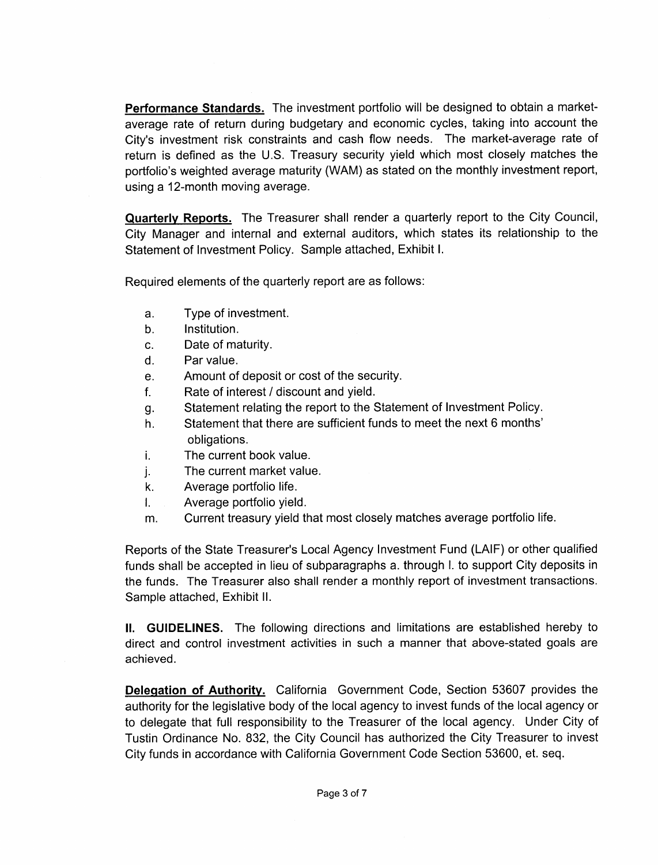Performance Standards. The investment portfolio will be designed to obtain a marketaverage rate of return during budgetary and economic cycles, taking into account the **Performance Standards.** The investment portfolio will be designed to obtain a market-average rate of return during budgetary and economic cycles, taking into account the City's investment risk constraints and cash flow ne City's investment risk constraints and cash flow needs. The market-average rate of return is defined as the U.S. Treasury security yield which most closely matches the portfolio's weighted average maturity (WAM) as stated on the monthly investment report, using a 12-month moving average.

**Quarterly Reports.** The Treasurer shall render a quarterly report to the City Council, City Manager and internal and external auditors, which states its relationship to the Statement of Investment Policy. Sample attached, Exhibit I.

Required elements of the quarterly report are as follows

- a Type of investment
- b. Institution.
- c. Date of maturity.
- d. Par value.
- e. Amount of deposit or cost of the security.
- f. Rate of interest / discount and yield.
- g. Statement relating the report to the Statement of Investment Policy.
- h. Statement that there are sufficient funds to meet the next 6 months' obligations
- i. The current book value.
- j.<br>k. The current market value
- Average portfolio life.
- I. Average portfolio yield.
- m. Current treasury yield that most closely matches average portfolio life.

Frace portfolio life.<br>
Reports of the State Treasurer's Local Agency Investment Fund (LAIF) or other qualified<br>
Fracepted in lieu of subparagraphs a. through I. to support City deposits in<br>
the funds Shall be accepted in l funds shall be accepted in lieu of subparagraphs a through I to support City deposits in the funds. The Treasurer also shall render a monthly report of investment transactions. Sample attached, Exhibit II.

II. GUIDELINES. The following directions and limitations are established hereby to direct and control investment activities in such a manner that above-stated goals are achieved

**Delegation of Authority.** California Government Code, Section 53607 provides the authority for the legislative body of the local agency to invest funds of the local agency or to delegate that full responsibility to the Treasurer of the local agency. Under City of Tustin Ordinance No. 832, the City Council has authorized the City Treasurer to invest City funds in accordance with California Government Code Section 53600, et. seq.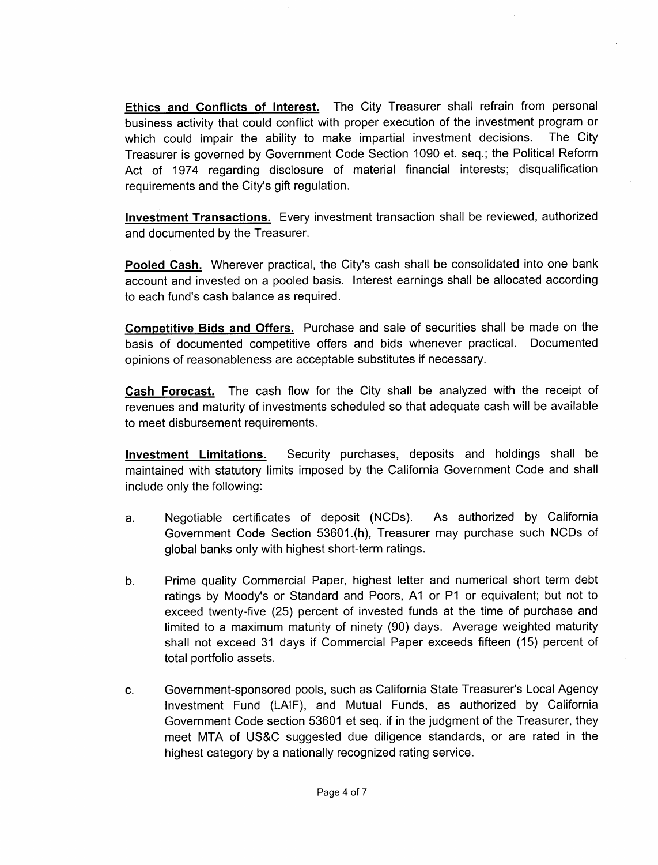Ethics and Conflicts of Interest. The City Treasurer shall refrain from personal business activity that could conflict with proper execution of the investment program or which could impair the ability to make impartial investment decisions. The City Treasurer is governed by Government Code Section 1090 et. seq.; the Political Reform Act of 1974 regarding disclosure of material financial interests; disqualification Treasurer is governed by Government Co<br>Act of 1974 regarding disclosure of<br>requirements and the City's gift regulation.<br>.

Investment Transactions. Every investment transaction shall be reviewed, authorized and documented by the Treasurer

Pooled Cash. Wherever practical, the City's cash shall be consolidated into one bank account and invested on a pooled basis. Interest earnings shall be allocated according Pooled Cash. Wherever practical, the account and invested on a pooled basis<br>to each fund's cash balance as required.

Competitive Bids and Offers. Purchase and sale of securities shall be made on the basis of documented competitive offers and bids whenever practical. Documented opinions of reasonableness are acceptable substitutes if necessary

Cash Forecast. The cash flow for the City shall be analyzed with the receipt of revenues and maturity of investments scheduled so that adequate cash will be available to meet disbursement requirements

Investment Limitations. Security purchases, deposits and holdings shall be include only the following

- maintained with statutory limits imposed by the California Government Code and shall<br>include only the following:<br>a. Negotiable certificates of deposit (NCDs). As authorized by California<br>Government Code Section 53601.(h), a. Negotiable certificates of deposit (NCDs). As authorized by California<br>Government Code Section 53601.(h), Treasurer may purchase such NCDs of
- Government Code Section 33601.((i), Treasure<br>global banks only with highest short-term ratings<br>Prime quality Commercial Paper, highest letter<br>ratings by Moody's or Standard and Poors, A1<br>exceed twenty-five (25) percent of b. Prime quality Commercial Paper, highest letter and numerical short term debt ratings by Moody's or Standard and Poors, A1 or P1 or equivalent; but not to exceed twenty-five (25) percent of invested funds at the time of purchase and limited to a maximum maturity of pipety (90) days. Average weighted limited to a maximum maturity of ninety (90) days. Average weighted maturity shall not exceed 31 days if Commercial Paper exceeds fifteen (15) percent of total portfolio assets exceed twenty-five (25) percent of invested funds at the time of purchase and<br>limited to a maximum maturity of ninety (90) days. Average weighted maturity<br>shall not exceed 31 days if Commercial Paper exceeds fifteen (15) p
- Investment Fund (LAIF), and Mutual Funds, as authorized by California Government Code section 53601 et seq. if in the judgment of the Treasurer, they Investment Fund (LAIF), and Mutual Funds, as authorized by California<br>Government Code section 53601 et seq. if in the judgment of the Treasurer, they<br>meet MTA of US&C suggested due diligence standards, or are rated in the<br> highest category by <sup>a</sup> nationally recognized rating service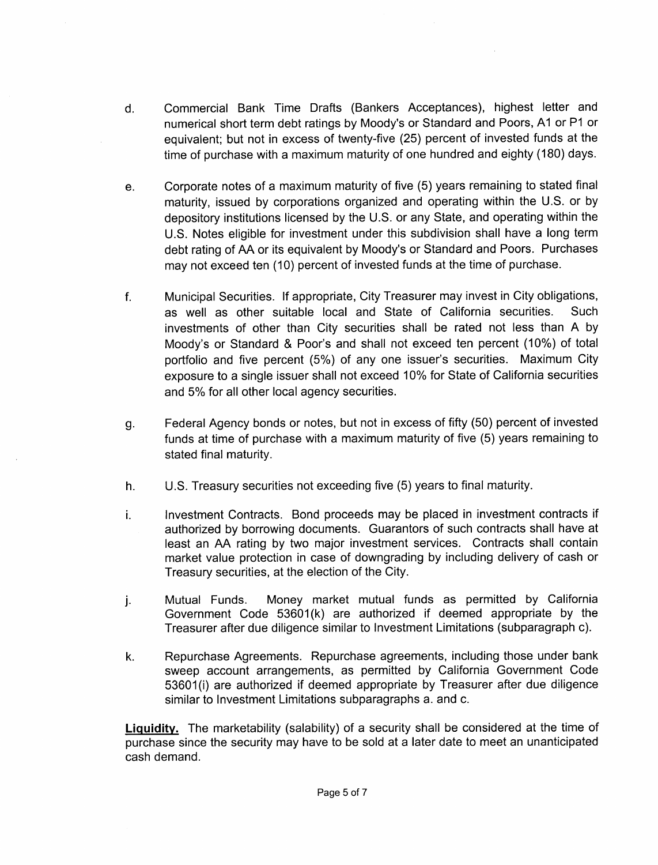- d. Commercial Bank Time Drafts (Bankers Acceptances), highest letter and Commercial Bank Time Drafts (Bankers Acceptances), highest letter and<br>numerical short term debt ratings by Moody's or Standard and Poors, A1 or P1 or<br>equivalent; but not in excess of twenty-five (25) percent of invested fu numerical short term debt ratings by Moody's or Standard and Poors, A1 or P1 or time of purchase with a maximum maturity of one hundred and eighty (180) days.
- e. Corporate notes of a maximum maturity of five (5) years remaining to stated final maturity, issued by corporations organized and operating within the U.S. or by depository institutions licensed by the U.S. or any State, and operating within the depository institutions licensed by the U.S. or any State, and operating within the<br>U.S. Notes eligible for investment under this subdivision shall have a long term maturity, issued by corporations organized and operating within the U.S. or by depository institutions licensed by the U.S. or any State, and operating within the U.S. Notes eligible for investment under this subdivision s
- f. Municipal Securities. If appropriate, City Treasurer may invest in City obligations,<br>as well as other suitable local and State of California securities. Such as well as other suitable local and State of California securities. Such investments of other than City securities shall be rated not less than A by Municipal Securities. If appropriate, City Treasurer may invest in City obligations,<br>as well as other suitable local and State of California securities. Such<br>investments of other than City securities shall be rated not les Moody's or Standard & Poor's and shall not exceed ten percent (10%) of total portfolio and five percent (5%) of any one issuer's securities. Maximum City portions and two persont (5%) or any one locate of costanties. Intermediately<br>exposure to a single issuer shall not exceed 10% for State of California securities and 5% for all other local agency securities. Corporate notes of a maximum maturity of five (5) years remaining to stated final<br>maturity, issued by corporations organized and operating within the U.S. or by Co-<br>depository institutions licensed by the U.S. or any State
- g Federal Agency bonds or notes, but not in excess of fifty (50) percent of invested funds at time of purchase with a maximum maturity of five (5) years remaining to stated final maturity
- h. U.S. Treasury securities not exceeding five (5) years to final maturity.
- Federal Agency bonds or notes, but not in excess or miy (50) percent or invested<br>funds at time of purchase with a maximum maturity of five (5) years remaining to<br>stated final maturity.<br>U.S. Treasury securities not exceedin i. authorized by borrowing documents. Guarantors of such contracts shall have at least an AA rating by two major investment services. Contracts shall contain market value protection in case of downgrading by including delivery of cash or Treasury securities, at the election of the City.
- j. Mutual Funds. Money market mutual funds as permitted by calibridation and discussion of the Government Code 53601(k) are authorized if deemed appropriate by the Treasurer after due diligence similar to Investment Limitations (subparagraph c).
- k. Repurchase Agreements. Repurchase agreements, including those under bank sweep account arrangements, as permitted by California Government Code Treasure<br>Repurcha<br>sweep a<br>53601(i)<br>similar to 53601(i) are authorized if deemed appropriate by Treasurer after due diligence similar to Investment Limitations subparagraphs a. and c.

Liquidity. The marketability (salability) of a security shall be considered at the time of purchase since the security may have to be sold at a later date to meet an unanticipated cash demand ility) of a<br>ve to be so<br>Page 5 of 7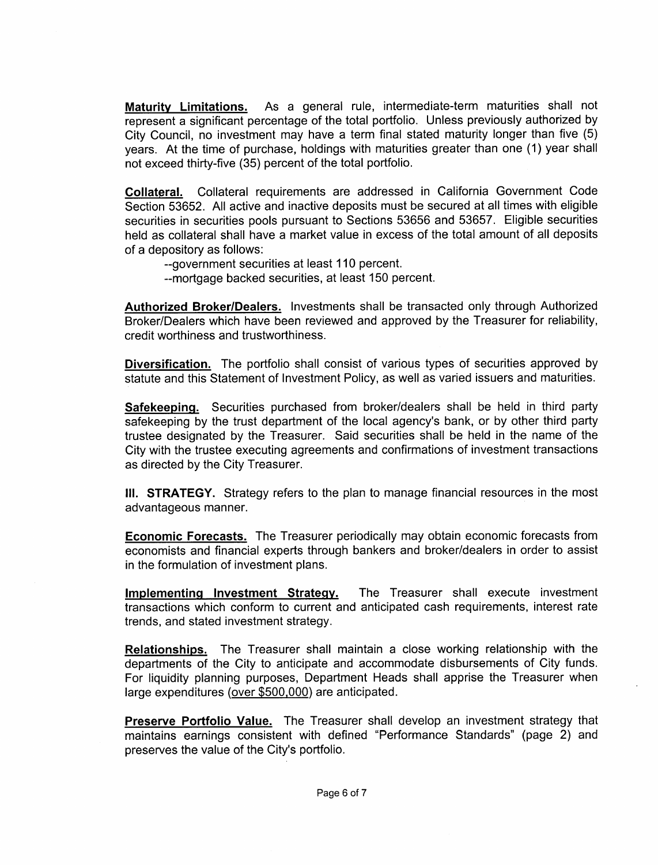Maturity Limitations. As a general rule, intermediate-term maturities shall not represent a significant percentage of the total portfolio. Unless previously authorized by City Council, no investment may have a term final stated maturity longer than five (5) years. At the time of purchase, holdings with maturities greater than one (1) year shall not exceed thirty-five (35) percent of the total portfolio.

Collateral. Collateral requirements are addressed in California Government Code Section 53652 All active and inactive deposits must be secured at all times with eligible securities in securities pools pursuant to Sections 53656 and 53657 Eligible securities held as collateral shall have a market value in excess of the total amount of all deposits of a depository as follows

- --government securities at least 110 percent.
- --mortgage backed securities, at least 150 percent.

Authorized Broker/Dealers. Investments shall be transacted only through Authorized Broker/Dealers which have been reviewed and approved by the Treasurer for reliability, credit worthiness and trustworthiness

Diversification. The portfolio shall consist of various types of securities approved by statute and this Statement of Investment Policy as well as varied issuers and maturities

Safekeeping. Securities purchased from broker/dealers shall be held in third party **Diversification.** The portfolio shall consist of various types of securities approved by statute and this Statement of Investment Policy, as well as varied issuers and maturities.<br> **Safekeeping.** Securities purchased from trustee designated by the Treasurer. Said securities shall be held in the name of the City with the trustee executing agreements and confirmations of investment transactions as directed by the City Treasurer

III. STRATEGY. Strategy refers to the plan to manage financial resources in the most advantageous manner

**Economic Forecasts.** The Treasurer periodically may obtain economic forecasts from economists and financial experts through bankers and broker/dealers in order to assist in the formulation of investment plans

Implementing Investment Strategy. The Treasurer shall execute investment transactions which conform to current and anticipated cash requirements, interest rate trends, and stated investment strategy.

Relationships. The Treasurer shall maintain a close working relationship with the departments of the City to anticipate and accommodate disbursements of City funds For liquidity planning purposes, Department Heads shall apprise the Treasurer when large expenditures (over \$500,000) are anticipated.

<u>Preserve Portfolio Value.</u> The Treasurer shall develop an investment strategy that<br>maintains earnings consistent with defined "Performance Standards" (page 2) and<br>preserves the value of the City's portfolio. maintains earnings consistent with defined "Performance Standards" (page 2) and preserves the value of the City's portfolio.